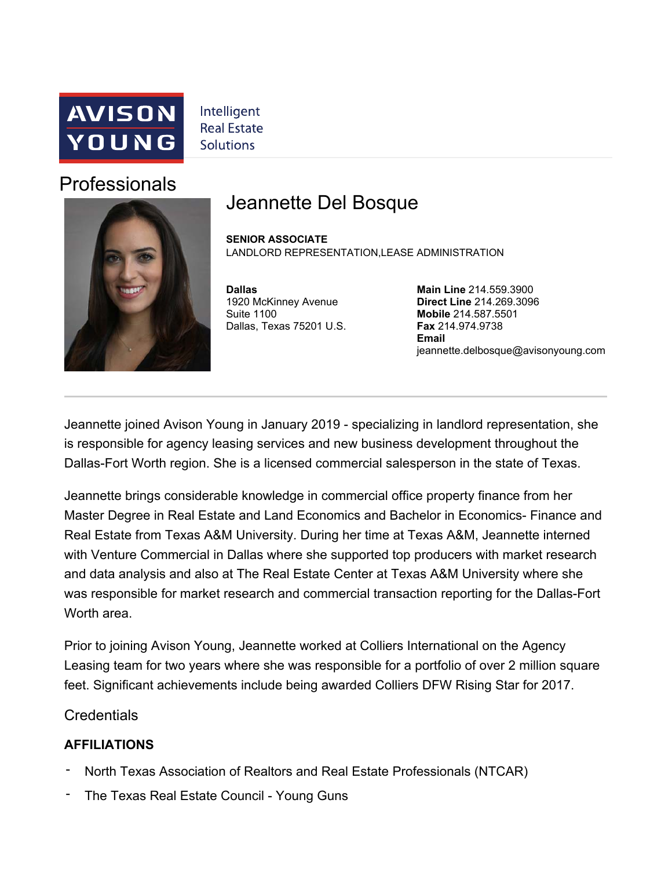

Intelligent **Real Estate Solutions** 

## Professionals



## Jeannette Del Bosque

**SENIOR ASSOCIATE** LANDLORD REPRESENTATION, LEASE ADMINISTRATION

**Dallas**  1920 McKinney Avenue Suite 1100 Dallas, Texas 75201 U.S.

**Main Line** 214.559.3900 **Direct Line** 214.269.3096 **Mobile** 214.587.5501 **Fax** 214.974.9738 **Email** jeannette.delbosque@avisonyoung.com

Jeannette joined Avison Young in January 2019 - specializing in landlord representation, she is responsible for agency leasing services and new business development throughout the Dallas-Fort Worth region. She is a licensed commercial salesperson in the state of Texas.

Jeannette brings considerable knowledge in commercial office property finance from her Master Degree in Real Estate and Land Economics and Bachelor in Economics- Finance and Real Estate from Texas A&M University. During her time at Texas A&M, Jeannette interned with Venture Commercial in Dallas where she supported top producers with market research and data analysis and also at The Real Estate Center at Texas A&M University where she was responsible for market research and commercial transaction reporting for the Dallas-Fort Worth area.

Prior to joining Avison Young, Jeannette worked at Colliers International on the Agency Leasing team for two years where she was responsible for a portfolio of over 2 million square feet. Significant achievements include being awarded Colliers DFW Rising Star for 2017.

**Credentials** 

## **AFFILIATIONS**

- North Texas Association of Realtors and Real Estate Professionals (NTCAR) -
- The Texas Real Estate Council Young Guns